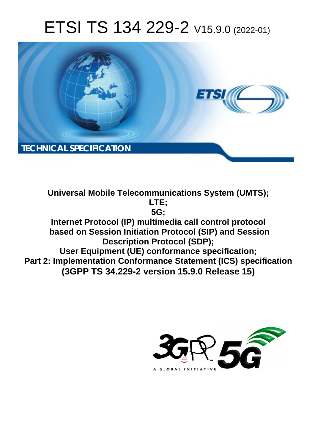# ETSI TS 134 229-2 V15.9.0 (2022-01)



**Universal Mobile Telecommunications System (UMTS); LTE; 5G; Internet Protocol (IP) multimedia call control protocol based on Session Initiation Protocol (SIP) and Session Description Protocol (SDP); User Equipment (UE) conformance specification; Part 2: Implementation Conformance Statement (ICS) specification (3GPP TS 34.229-2 version 15.9.0 Release 15)** 

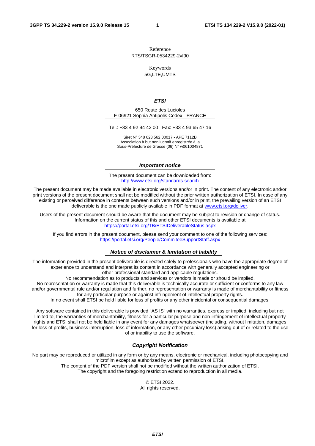Reference RTS/TSGR-0534229-2vf90

Keywords

5G,LTE,UMTS

#### *ETSI*

650 Route des Lucioles F-06921 Sophia Antipolis Cedex - FRANCE

Tel.: +33 4 92 94 42 00 Fax: +33 4 93 65 47 16

Siret N° 348 623 562 00017 - APE 7112B Association à but non lucratif enregistrée à la Sous-Préfecture de Grasse (06) N° w061004871

#### *Important notice*

The present document can be downloaded from: <http://www.etsi.org/standards-search>

The present document may be made available in electronic versions and/or in print. The content of any electronic and/or print versions of the present document shall not be modified without the prior written authorization of ETSI. In case of any existing or perceived difference in contents between such versions and/or in print, the prevailing version of an ETSI deliverable is the one made publicly available in PDF format at [www.etsi.org/deliver](http://www.etsi.org/deliver).

Users of the present document should be aware that the document may be subject to revision or change of status. Information on the current status of this and other ETSI documents is available at <https://portal.etsi.org/TB/ETSIDeliverableStatus.aspx>

If you find errors in the present document, please send your comment to one of the following services: <https://portal.etsi.org/People/CommiteeSupportStaff.aspx>

#### *Notice of disclaimer & limitation of liability*

The information provided in the present deliverable is directed solely to professionals who have the appropriate degree of experience to understand and interpret its content in accordance with generally accepted engineering or other professional standard and applicable regulations.

No recommendation as to products and services or vendors is made or should be implied.

No representation or warranty is made that this deliverable is technically accurate or sufficient or conforms to any law and/or governmental rule and/or regulation and further, no representation or warranty is made of merchantability or fitness for any particular purpose or against infringement of intellectual property rights.

In no event shall ETSI be held liable for loss of profits or any other incidental or consequential damages.

Any software contained in this deliverable is provided "AS IS" with no warranties, express or implied, including but not limited to, the warranties of merchantability, fitness for a particular purpose and non-infringement of intellectual property rights and ETSI shall not be held liable in any event for any damages whatsoever (including, without limitation, damages for loss of profits, business interruption, loss of information, or any other pecuniary loss) arising out of or related to the use of or inability to use the software.

#### *Copyright Notification*

No part may be reproduced or utilized in any form or by any means, electronic or mechanical, including photocopying and microfilm except as authorized by written permission of ETSI. The content of the PDF version shall not be modified without the written authorization of ETSI.

The copyright and the foregoing restriction extend to reproduction in all media.

© ETSI 2022. All rights reserved.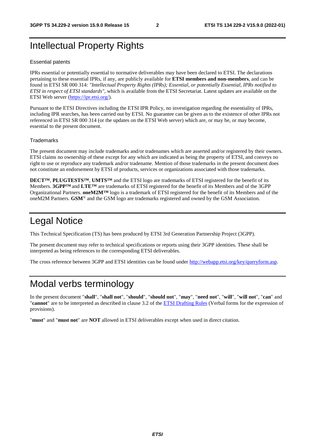## Intellectual Property Rights

#### Essential patents

IPRs essential or potentially essential to normative deliverables may have been declared to ETSI. The declarations pertaining to these essential IPRs, if any, are publicly available for **ETSI members and non-members**, and can be found in ETSI SR 000 314: *"Intellectual Property Rights (IPRs); Essential, or potentially Essential, IPRs notified to ETSI in respect of ETSI standards"*, which is available from the ETSI Secretariat. Latest updates are available on the ETSI Web server ([https://ipr.etsi.org/\)](https://ipr.etsi.org/).

Pursuant to the ETSI Directives including the ETSI IPR Policy, no investigation regarding the essentiality of IPRs, including IPR searches, has been carried out by ETSI. No guarantee can be given as to the existence of other IPRs not referenced in ETSI SR 000 314 (or the updates on the ETSI Web server) which are, or may be, or may become, essential to the present document.

#### **Trademarks**

The present document may include trademarks and/or tradenames which are asserted and/or registered by their owners. ETSI claims no ownership of these except for any which are indicated as being the property of ETSI, and conveys no right to use or reproduce any trademark and/or tradename. Mention of those trademarks in the present document does not constitute an endorsement by ETSI of products, services or organizations associated with those trademarks.

**DECT™**, **PLUGTESTS™**, **UMTS™** and the ETSI logo are trademarks of ETSI registered for the benefit of its Members. **3GPP™** and **LTE™** are trademarks of ETSI registered for the benefit of its Members and of the 3GPP Organizational Partners. **oneM2M™** logo is a trademark of ETSI registered for the benefit of its Members and of the oneM2M Partners. **GSM**® and the GSM logo are trademarks registered and owned by the GSM Association.

### Legal Notice

This Technical Specification (TS) has been produced by ETSI 3rd Generation Partnership Project (3GPP).

The present document may refer to technical specifications or reports using their 3GPP identities. These shall be interpreted as being references to the corresponding ETSI deliverables.

The cross reference between 3GPP and ETSI identities can be found under<http://webapp.etsi.org/key/queryform.asp>.

#### Modal verbs terminology

In the present document "**shall**", "**shall not**", "**should**", "**should not**", "**may**", "**need not**", "**will**", "**will not**", "**can**" and "**cannot**" are to be interpreted as described in clause 3.2 of the [ETSI Drafting Rules](https://portal.etsi.org/Services/editHelp!/Howtostart/ETSIDraftingRules.aspx) (Verbal forms for the expression of provisions).

"**must**" and "**must not**" are **NOT** allowed in ETSI deliverables except when used in direct citation.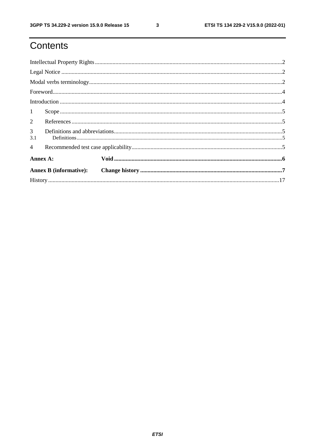$\mathbf{3}$ 

## Contents

|                       |                               | $\textbf{For} \textbf{word}.\textcolor{red}{\textbf{Concom} 1}\textcolor{red}{\textbf{Concom} 2} \textcolor{red}{\textbf{Concom} 3} \textcolor{red}{\textbf{Concom} 4}$ |  |  |  |  |  |  |
|-----------------------|-------------------------------|-------------------------------------------------------------------------------------------------------------------------------------------------------------------------|--|--|--|--|--|--|
|                       |                               |                                                                                                                                                                         |  |  |  |  |  |  |
| 1                     |                               |                                                                                                                                                                         |  |  |  |  |  |  |
| $\overline{2}$        |                               |                                                                                                                                                                         |  |  |  |  |  |  |
| 3 <sup>7</sup><br>3.1 |                               |                                                                                                                                                                         |  |  |  |  |  |  |
| $\overline{4}$        |                               |                                                                                                                                                                         |  |  |  |  |  |  |
| Annex A:              |                               |                                                                                                                                                                         |  |  |  |  |  |  |
|                       | <b>Annex B</b> (informative): |                                                                                                                                                                         |  |  |  |  |  |  |
|                       |                               |                                                                                                                                                                         |  |  |  |  |  |  |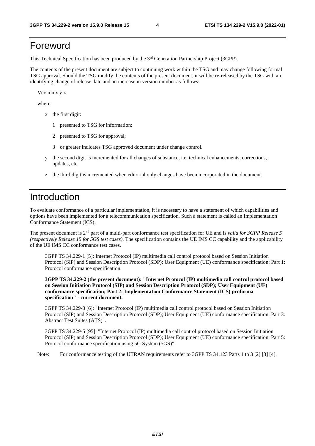#### Foreword

This Technical Specification has been produced by the 3rd Generation Partnership Project (3GPP).

The contents of the present document are subject to continuing work within the TSG and may change following formal TSG approval. Should the TSG modify the contents of the present document, it will be re-released by the TSG with an identifying change of release date and an increase in version number as follows:

Version x.y.z

where:

- x the first digit:
	- 1 presented to TSG for information;
	- 2 presented to TSG for approval;
	- 3 or greater indicates TSG approved document under change control.
- y the second digit is incremented for all changes of substance, i.e. technical enhancements, corrections, updates, etc.
- z the third digit is incremented when editorial only changes have been incorporated in the document.

### Introduction

To evaluate conformance of a particular implementation, it is necessary to have a statement of which capabilities and options have been implemented for a telecommunication specification. Such a statement is called an Implementation Conformance Statement (ICS).

The present document is 2nd part of a multi-part conformance test specification for UE and is *valid for 3GPP Release 5 (respectively Release 15 for 5GS test cases)*. The specification contains the UE IMS CC capability and the applicability of the UE IMS CC conformance test cases.

 3GPP TS 34.229-1 [5]: Internet Protocol (IP) multimedia call control protocol based on Session Initiation Protocol (SIP) and Session Description Protocol (SDP); User Equipment (UE) conformance specification; Part 1: Protocol conformance specification.

 **3GPP TS 34.229-2 (the present document): "Internet Protocol (IP) multimedia call control protocol based on Session Initiation Protocol (SIP) and Session Description Protocol (SDP); User Equipment (UE) conformance specification; Part 2: Implementation Conformance Statement (ICS) proforma specification" - current document.** 

 3GPP TS 34.229-3 [6]: "Internet Protocol (IP) multimedia call control protocol based on Session Initiation Protocol (SIP) and Session Description Protocol (SDP); User Equipment (UE) conformance specification; Part 3: Abstract Test Suites (ATS)".

 3GPP TS 34.229-5 [95]: "Internet Protocol (IP) multimedia call control protocol based on Session Initiation Protocol (SIP) and Session Description Protocol (SDP); User Equipment (UE) conformance specification; Part 5: Protocol conformance specification using 5G System (5GS)"

Note: For conformance testing of the UTRAN requirements refer to 3GPP TS 34.123 Parts 1 to 3 [2] [3] [4].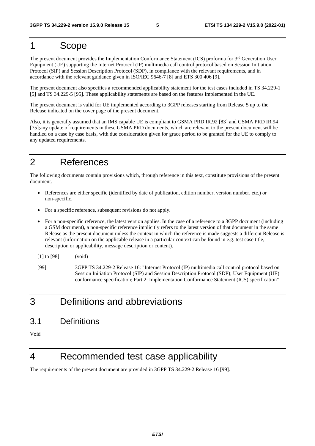## 1 Scope

The present document provides the Implementation Conformance Statement (ICS) proforma for 3<sup>rd</sup> Generation User Equipment (UE) supporting the Internet Protocol (IP) multimedia call control protocol based on Session Initiation Protocol (SIP) and Session Description Protocol (SDP), in compliance with the relevant requirements, and in accordance with the relevant guidance given in ISO/IEC 9646-7 [8] and ETS 300 406 [9].

The present document also specifies a recommended applicability statement for the test cases included in TS 34.229-1 [5] and TS 34.229-5 [95]. These applicability statements are based on the features implemented in the UE.

The present document is valid for UE implemented according to 3GPP releases starting from Release 5 up to the Release indicated on the cover page of the present document.

Also, it is generally assumed that an IMS capable UE is compliant to GSMA PRD IR.92 [83] and GSMA PRD IR.94 [75];any update of requirements in these GSMA PRD documents, which are relevant to the present document will be handled on a case by case basis, with due consideration given for grace period to be granted for the UE to comply to any updated requirements.

## 2 References

The following documents contain provisions which, through reference in this text, constitute provisions of the present document.

- References are either specific (identified by date of publication, edition number, version number, etc.) or non-specific.
- For a specific reference, subsequent revisions do not apply.
- For a non-specific reference, the latest version applies. In the case of a reference to a 3GPP document (including a GSM document), a non-specific reference implicitly refers to the latest version of that document in the same Release as the present document unless the context in which the reference is made suggests a different Release is relevant (information on the applicable release in a particular context can be found in e.g. test case title, description or applicability, message description or content).
- [1] to [98] (void)
- [99] 3GPP TS 34.229-2 Release 16: "Internet Protocol (IP) multimedia call control protocol based on Session Initiation Protocol (SIP) and Session Description Protocol (SDP); User Equipment (UE) conformance specification; Part 2: Implementation Conformance Statement (ICS) specification"

### 3 Definitions and abbreviations

- 3.1 Definitions
- Void

### 4 Recommended test case applicability

The requirements of the present document are provided in 3GPP TS 34.229-2 Release 16 [99].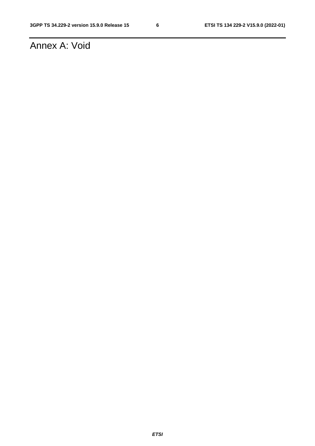## Annex A: Void

*ETSI*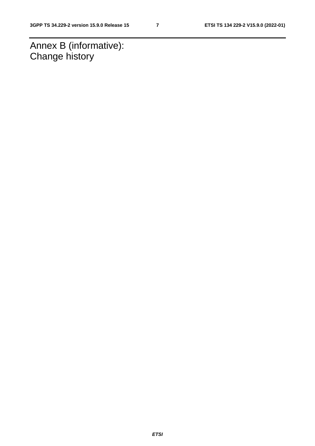Annex B (informative): Change history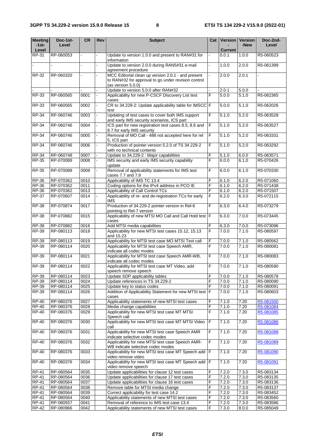| <b>Meeting</b><br>-1st- | Doc-1st-<br>Level      | CR           | Rev | <b>Subject</b>                                                                              | Cat            | Version        | <b>Version</b><br>-New | Doc-2nd-<br>Level      |
|-------------------------|------------------------|--------------|-----|---------------------------------------------------------------------------------------------|----------------|----------------|------------------------|------------------------|
| Level                   |                        |              |     |                                                                                             |                | <b>Current</b> |                        |                        |
| RP-31                   | RP-060053              |              |     | Update to version 1.0.0 and present to RAN#31 for                                           |                | 0.0.1          | 1.0.0                  | R5-060523              |
|                         |                        |              |     | information                                                                                 |                |                |                        |                        |
|                         |                        |              |     | Update to version 2.0.0 during RAN5#31 e-mail                                               |                | 1.0.0          | 2.0.0                  | R5-061399              |
| RP-32                   | RP-060320              |              |     | agreement procedure<br>MCC Editorial clean up version 2.0.1 - and present                   |                | 2.0.0          | 2.0.1                  |                        |
|                         |                        |              |     | to RAN#32 for approval to go under revision control                                         |                |                |                        |                        |
|                         |                        |              |     | (as version 5.0.0)                                                                          |                |                |                        |                        |
|                         |                        |              |     | Update to version 5.0.0 after RAN#32                                                        |                | 2.0.1          | 5.0.0                  |                        |
| <b>RP-33</b>            | RP-060565              | 0001         |     | Applicability for new P-CSCF Discovery List test<br>cases                                   | F              | 5.0.0          | 5.1.0                  | R5-062365              |
| RP-33                   | RP-060565              | 0002         | ä,  | CR to 34.229-2: Update applicability table for IMSCC F                                      |                | 5.0.0          | 5.1.0                  | R5-062026              |
|                         |                        |              |     | test                                                                                        |                |                |                        |                        |
| <b>RP-34</b>            | RP-060746              | 0003         |     | Updating of test cases to cover both IMS support                                            | F              | 5.1.0          | 5.2.0                  | R5-063528              |
|                         |                        |              |     | and early IMS security scenarios, ICS part                                                  |                |                |                        |                        |
| <b>RP-34</b>            | RP-060746              | 0004         |     | ICS part for new registration test cases 8.5, 8.6 and<br>8.7 for early IMS security         | $\mathsf F$    | 5.1.0          | 5.2.0                  | R5-063527              |
| <b>RP-34</b>            | RP-060746              | 0005         |     | Removal of MO Call - 488 not accepted here for rel                                          | F              | 5.1.0          | 5.2.0                  | R5-063331              |
|                         |                        |              |     | 5, ICS part                                                                                 |                |                |                        |                        |
| <b>RP-34</b>            | RP-060746              | 0006         |     | Production of pointer version 5.2.0 of TS 34.229-2                                          | F              | 5.1.0          | 5.2.0                  | R5-063292              |
|                         |                        |              |     | with no technical contents                                                                  |                |                |                        |                        |
| RP-34                   | RP-060748              | 0007         |     | Update to 34.229-2 : Major capabilities                                                     | F              | 5.1.0          | 6.0.0                  | R5-063571              |
| RP-35                   | RP-070089              | 0008         |     | IMS security and early IMS security capability<br>update                                    | F              | 6.0.0          | 6.1.0                  | R5-070426              |
| <b>RP-35</b>            | RP-070089              | 0009         |     | Removal of applicability statements for IMS test                                            | F              | 6.0.0          | 6.1.0                  | R5-070330              |
|                         |                        |              |     | cases 7.7 and 7.8                                                                           |                |                |                        |                        |
| <b>RP-36</b>            | RP-070362              | 0010         |     | Applicability of IMS TC 13.4                                                                | F              | 6.1.0          | 6.2.0                  | R5-071060              |
| <b>RP-36</b>            | RP-070362              | 0011         |     | Coding options for the IPv4 address in PCO IE                                               | F              | 6.1.0          | 6.2.0                  | R5-071438              |
| <b>RP-36</b>            | RP-070362              | 0013         |     | Applicability of Call Control TCs                                                           | F              | 6.1.0          | 6.2.0                  | R5-071507              |
| <b>RP-37</b>            | RP-070607              | 0014         |     | Applicability of re- and de-registration TCs for early<br>IMS                               | F              | 6.2.0          | 6.3.0                  | R5-072115              |
| <b>RP-38</b>            | RP-070874              | 0017         |     | Production of 34.229-2 pointer version in Rel-6                                             | F              | 6.3.0          | 6.4.0                  | R5-073279              |
|                         |                        |              |     | pointing to Rel-7 version                                                                   |                |                |                        |                        |
| <b>RP-38</b>            | RP-070882              | 0015         |     | Applicability of new MTSI MO Call and Call Hold test F                                      |                | 6.3.0          | 7.0.0                  | R5-073445              |
|                         |                        |              |     | cases                                                                                       |                |                |                        |                        |
| <b>RP-38</b>            | RP-070882              | 0016         |     | Add MTSI media capabilities                                                                 | F              | 6.3.0          | 7.0.0                  | R5-073096              |
| RP-39                   | RP-080113              | 0018         |     | Applicability for new MTSI test cases 15.12, 15.13<br>and 15.23                             | F              | 7.0.0          | 7.1.0                  | R5-080597              |
| RP-39                   | RP-080113              | 0019         |     | Applicability for MTSI test case MO MTSI Text call                                          | F              | 7.0.0          | 7.1.0                  | R5-080562              |
| RP-39                   | RP-080114              | 0020         |     | Applicability for MTSI test case Speech AMR,                                                | F              | 7.0.0          | 7.1.0                  | R5-080081              |
|                         |                        |              |     | indicate all codec modes                                                                    |                |                |                        |                        |
| <b>RP-39</b>            | RP-080114              | 0021         |     | Applicability for MTSI test case Speech AMR-WB,                                             | $\overline{F}$ | 7.0.0          | 7.1.0                  | R5-080083              |
|                         |                        |              |     | indicate all codec modes                                                                    |                |                |                        |                        |
| RP-39                   | RP-080114              | 0022         |     | Applicability for MTSI test case MT Video, add<br>speech remove speech                      | F              | 7.0.0          | 7.1.0                  | R5-080590              |
| RP-39                   | RP-080114              | 0023         |     | Update SDP applicability tables                                                             | F              | 7.0.0          | 7.1.0                  | R5-080578              |
| <b>RP-39</b>            | RP-080114              | 0024         |     | Update references in TS 34.229-2                                                            | F              | 7.0.0          | 7.1.0                  | R5-080090              |
| <b>RP-39</b>            | RP-080114              | 0025         |     | Update key to status codes                                                                  | F              | 7.0.0          | 7.1.0                  | R5-080091              |
| <b>RP-39</b>            | RP-080114              | 0026         |     | Addition of Applicability Statement for new MTSI test F                                     |                | 7.0.0          | 7.1.0                  | R5-080603              |
|                         |                        |              |     | cases                                                                                       |                |                |                        |                        |
| <b>RP-40</b>            | RP-080376              | 0027         |     | Applicability statements of new MTSI test cases                                             | F              | 7.1.0          | 7.20                   | R5-081500              |
| RP-40                   | RP-080376              | 0028         |     | Media change capabilities                                                                   | F              | 7.1.0          | 7.20                   | R5-081084              |
| <b>RP-40</b>            | RP-080376              | 0029         |     | Applicability for new MTSI test case MT MTSI<br>Speech call                                 | F              | 7.1.0          | 7.20                   | R5-081085              |
| <b>RP-40</b>            | RP-080376              | 0030         |     | Applicability for new MTSI test case MT MTSI Video                                          | $\overline{F}$ | 7.1.0          | 7.20                   | R5-081086              |
|                         |                        |              |     | call                                                                                        |                |                |                        |                        |
| <b>RP-40</b>            | RP-080376              | 0031         |     | Applicability for new MTSI test case Speech AMR                                             | F              | 7.1.0          | 7.20                   | R5-081088              |
|                         |                        |              |     | indicate selective codec modes                                                              |                |                |                        |                        |
| <b>RP-40</b>            | RP-080376              | 0032         |     | Applicability for new MTSI test case Speech AMR-<br>WB indicate selective codec modes       | $\mathsf F$    | 7.1.0          | 7.20                   | R5-081089              |
| <b>RP-40</b>            | RP-080376              | 0033         |     | Applicability for new MTSI test case MT Speech add  F                                       |                | 7.1.0          | 7.20                   | R5-081090              |
|                         |                        |              |     | video remove video                                                                          |                |                |                        |                        |
| <b>RP-40</b>            | RP-080376              | 0034         |     | Applicability for new MTSI test case MT Speech add F                                        |                | 7.1.0          | 7.20                   | R5-081091              |
|                         |                        |              |     | video remove speech                                                                         |                |                |                        |                        |
| <b>RP-41</b>            | RP-080564              | 0035         |     | Update applicabilities for clause 12 test cases                                             | F              | 7.2.0          | 7.3.0                  | R5-083134              |
| $RP-41$                 | RP-080564              | 0036         |     | Update applicabilities for clause 17 test cases                                             | F              | 7.2.0          | 7.3.0                  | R5-083135              |
| RP-41                   | RP-080564              | 0037         |     | Update applicabilities for clause 16 test cases                                             | F              | 7.2.0          | 7.3.0                  | R5-083136              |
| <b>RP-41</b>            | RP-080564              | 0038         |     | Remove table for MTSI media change                                                          | F<br>F         | 7.2.0          | 7.3.0                  | R5-083137              |
| RP-41<br><b>RP-41</b>   | RP-080564<br>RP-080564 | 0039<br>0040 |     | Correct applicability for test case 14.2<br>Applicability statements of new MTSI test cases | F              | 7.2.0<br>7.2.0 | 7.3.0<br>7.3.0         | R5-083452<br>R5-083560 |
| <b>RP-41</b>            | RP-080557              | 0041         |     | Removal of reference to IMS test case 13.4                                                  | F              | 7.2.0          | 7.3.0                  | R5-083586              |
| <b>RP-42</b>            | RP-080966              | 0042         |     | Applicability statements of new MTSI test cases                                             | F              | 7.3.0          | 8.0.0                  | R5-085049              |
|                         |                        |              |     |                                                                                             |                |                |                        |                        |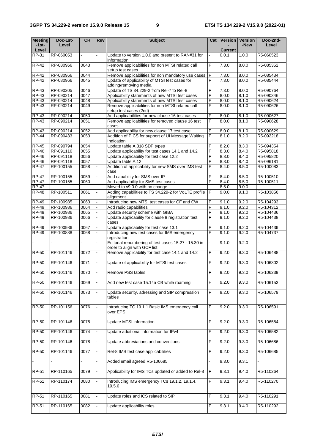| <b>Meeting</b>       | Doc-1st-  | CR   | <b>Rev</b> | <b>Subject</b>                                                                       | Cat         |                | Version   Version | Doc-2nd-  |
|----------------------|-----------|------|------------|--------------------------------------------------------------------------------------|-------------|----------------|-------------------|-----------|
| $-1$ st $-$<br>Level | Level     |      |            |                                                                                      |             | <b>Current</b> | -New              | Level     |
| $RP-31$              | RP-060053 |      |            | Update to version 1.0.0 and present to RAN#31 for                                    |             | 0.0.1          | 1.0.0             | R5-060523 |
| <b>RP-42</b>         | RP-080966 | 0043 |            | information<br>Remove applicabilities for non MTSI related call                      | F           | 7.3.0          | 8.0.0             | R5-085352 |
| <b>RP-42</b>         | RP-080966 | 0044 |            | setup test cases<br>Remove applicabilities for non mandatory use cases               | $\mathsf F$ | 7.3.0          | 8.0.0             | R5-085434 |
| <b>RP-42</b>         | RP-080966 | 0045 |            | Update of applicability of MTSI test cases for                                       | F           | 7.3.0          | 8.0.0             | R5-085444 |
|                      |           |      |            | adding/removing media                                                                |             |                |                   |           |
| <b>RP-43</b>         | RP-090205 | 0046 |            | Update of TS 34.229-2 from Rel-7 to Rel-8                                            | F           | 7.3.0          | 8.0.0             | R5-090764 |
| RP-43                | RP-090214 | 0047 |            | Applicability statements of new MTSI test cases                                      | F           | 8.0.0          | 8.1.0             | R5-090346 |
| RP-43                | RP-090214 | 0048 |            | Applicability statements of new MTSI test cases                                      | F           | 8.0.0          | 8.1.0             | R5-090624 |
| $RP-43$              | RP-090214 | 0049 |            | Remove applicabilities for non MTSI related call<br>setup test cases (2nd)           | F           | 8.0.0          | 8.1.0             | R5-090626 |
| <b>RP-43</b>         | RP-090214 | 0050 |            | Add applicabilities for new clause 16 test cases                                     | F           | 8.0.0          | 8.1.0             | R5-090627 |
| <b>RP-43</b>         | RP-090214 | 0051 |            | Remove applicabilities for removed clause 16 test<br>cases                           | F           | 8.0.0          | 8.1.0             | R5-090628 |
| $RP-43$              | RP-090214 | 0052 |            | Add applicability for new clause 17 test case                                        | F           | 8.0.0          | 8.1.0             | R5-090629 |
| <b>RP-44</b>         | RP-090433 | 0053 |            | Addition of PICS for support of UI Message Waiting<br>Indication                     | F           | 8.1.0          | 8.2.0             | R5-092218 |
| <b>RP-45</b>         | RP-090794 | 0054 |            | Update table A.318 SDP types                                                         | F           | 8.2.0          | 8.3.0             | R5-094354 |
| <b>RP-46</b>         | RP-091116 | 0055 |            | Update applicability for test cases 14.1 and 14.2                                    | F           | 8.3.0          | 8.4.0             | R5-095818 |
| <b>RP-46</b>         | RP-091118 | 0056 |            | Update applicability for test case 12.2                                              | F           | 8.3.0          | 8.4.0             | R5-095820 |
| <b>RP-46</b>         | RP-091118 | 0057 |            | Update table A.12                                                                    | F           | 8.3.0          | 8.4.0             | R5-096181 |
| <b>RP-47</b>         | RP-100155 | 0058 |            | Addition of applicability for new SMS over IMS test<br>case                          | F           | 8.4.0          | 8.5.0             | R5-100083 |
| <b>RP-47</b>         | RP-100155 | 0059 |            | Add capability for SMS over IP                                                       | F           | 8.4.0          | 8.5.0             | R5-100510 |
| <b>RP-47</b>         | RP-100155 | 0060 |            | Add applicability for SMS test cases                                                 | F           | 8.4.0          | 8.5.0             | R5-100511 |
| <b>RP-47</b>         |           |      |            | Moved to v9.0.0 with no change                                                       |             | 8.5.0          | 9.0.0             |           |
| <b>RP-48</b>         | RP-100511 | 0061 |            | Adding capabilities to TS 34.229-2 for VoLTE profile<br>alignment                    | F           | 9.0.0          | 9.1.0             | R5-103856 |
| <b>RP-49</b>         | RP-100985 | 0063 |            | Introducing new MTSI test cases for CF and CW                                        | F           | 9.1.0          | 9.2.0             | R5-104293 |
| <b>RP-49</b>         | RP-100986 | 0064 |            | Add radio capabilities                                                               | F           | 9.1.0          | 9.2.0             | R5-104312 |
| <b>RP-49</b>         | RP-100986 | 0065 |            | Update security scheme with GIBA                                                     | F           | 9.1.0          | 9.2.0             | R5-104436 |
| <b>RP-49</b>         | RP-100986 | 0066 |            | Update applicability for clause 8 registration test<br>cases                         | F           | 9.1.0          | 9.2.0             | R5-104438 |
| <b>RP-49</b>         | RP-100986 | 0067 |            | Update applicability for test case 13.1                                              | F           | 9.1.0          | 9.2.0             | R5-104439 |
| $RP-49$              | RP-100838 | 0068 |            | Introducing new test cases for IMS emergency<br>registration                         | F           | 9.1.0          | 9.2.0             | R5-104737 |
|                      |           |      |            | Editorial renumbering of test cases 15.27 - 15.30 in<br>order to align with GCF list |             | 9.1.0          | 9.2.0             |           |
| $RP-50$              | RP-101146 | 0072 |            | Remove applicability for test case 14.1 and 14.2                                     | F           | 9.2.0          | 9.3.0             | R5-106488 |
| RP-50                | RP-101146 | 0071 |            | Update of applicability for MTSI test cases                                          | F           | 9.2.0          | 9.3.0             | R5-106302 |
| <b>RP-50</b>         | RP-101146 | 0070 |            | Remove PSS tables                                                                    | F           | 9.2.0          | 9.3.0             | R5-106239 |
| $RP-50$              | RP-101146 | 0069 |            | Add new test case 15.14a CB while roaming                                            | F           | 9.2.0          | 9.3.0             | R5-106153 |
| <b>RP-50</b>         | RP-101146 | 0073 |            | Update security, adressing and SIP compression<br>tables                             | F           | 9.2.0          | 9.3.0             | R5-106579 |
| $RP-50$              | RP-101156 | 0076 |            | Introducing TC 19.1.1 Basic IMS emergency call<br>over EPS                           | F           | 9.2.0          | 9.3.0             | R5-106591 |
| <b>RP-50</b>         | RP-101146 | 0075 |            | <b>Update MTSI information</b>                                                       | F           | 9.2.0          | 9.3.0             | R5-106584 |
| RP-50                | RP-101146 | 0074 |            | Update additional information for IPv4                                               | F           | 9.2.0          | 9.3.0             | R5-106582 |
| <b>RP-50</b>         | RP-101146 | 0078 |            | Update abbreviations and conventions                                                 | F           | 9.2.0          | 9.3.0             | R5-106686 |
| $RP-50$              | RP-101146 | 0077 |            | Rel-8 IMS test case applicabilities                                                  | F           | 9.2.0          | 9.3.0             | R5-106685 |
|                      |           |      |            | Added email agreed R5-106685                                                         |             | 9.3.0          | 9.3.1             |           |
| <b>RP-51</b>         | RP-110165 | 0079 |            | Applicability for IMS TCs updated or added to Rel-8                                  | F           | 9.3.1          | 9.4.0             | R5-110264 |
| <b>RP-51</b>         | RP-110174 | 0080 |            | Introducing IMS emergency TCs 19.1.2, 19.1.4,<br>19.5.6                              | F           | 9.3.1          | 9.4.0             | R5-110270 |
| <b>RP-51</b>         | RP-110165 | 0081 |            | Update roles and ICS related to SIP                                                  | F           | 9.3.1          | 9.4.0             | R5-110291 |
| $RP-51$              | RP-110165 | 0082 |            | Update applicability roles                                                           | F           | 9.3.1          | 9.4.0             | R5-110292 |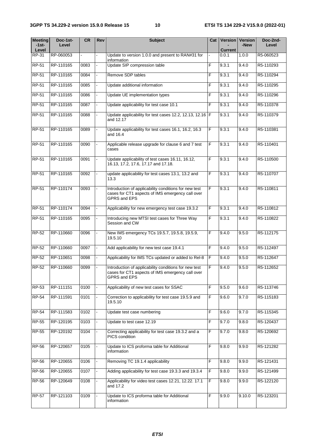| <b>Meeting</b><br>$-1$ st $-$<br>Level | Doc-1st-<br>Level | <b>CR</b> | Rev            | <b>Subject</b>                                                                                                                   |    | Cat   Version<br>Current | <b>Version</b><br>-New | Doc-2nd-<br>Level |
|----------------------------------------|-------------------|-----------|----------------|----------------------------------------------------------------------------------------------------------------------------------|----|--------------------------|------------------------|-------------------|
| RP-31                                  | RP-060053         |           |                | Update to version 1.0.0 and present to RAN#31 for<br>information                                                                 | L, | 0.0.1                    | 1.0.0                  | R5-060523         |
| <b>RP-51</b>                           | RP-110165         | 0083      |                | Update SIP compression table                                                                                                     | F  | 9.3.1                    | 9.4.0                  | R5-110293         |
| <b>RP-51</b>                           | RP-110165         | 0084      |                | Remove SDP tables                                                                                                                | F  | 9.3.1                    | 9.4.0                  | R5-110294         |
| <b>RP-51</b>                           | RP-110165         | 0085      |                | Update additional information                                                                                                    | F  | 9.3.1                    | 9.4.0                  | R5-110295         |
| <b>RP-51</b>                           | RP-110165         | 0086      |                | Update UE implementation types                                                                                                   | F  | 9.3.1                    | 9.4.0                  | R5-110296         |
| <b>RP-51</b>                           | RP-110165         | 0087      |                | Update applicability for test case 10.1                                                                                          | F  | 9.3.1                    | 9.4.0                  | R5-110378         |
| <b>RP-51</b>                           | RP-110165         | 0088      |                | Update applicability for test cases 12.2, 12.13, 12.16   F<br>and 12.17                                                          |    | 9.3.1                    | 9.4.0                  | R5-110379         |
| <b>RP-51</b>                           | RP-110165         | 0089      |                | Update applicability for test cases 16.1, 16.2, 16.3<br>and 16.4                                                                 | F  | 9.3.1                    | 9.4.0                  | R5-110381         |
| <b>RP-51</b>                           | RP-110165         | 0090      |                | Applicable release upgrade for clause 6 and 7 test<br>cases                                                                      | F  | 9.3.1                    | 9.4.0                  | R5-110401         |
| <b>RP-51</b>                           | RP-110165         | 0091      |                | Update applicability of test cases 16.11, 16.12,<br>16.13, 17.2, 17.6, 17.17 and 17.18.                                          | F  | 9.3.1                    | 9.4.0                  | R5-110500         |
| <b>RP-51</b>                           | RP-110165         | 0092      |                | update applicability for test cases 13.1, 13.2 and<br>13.3                                                                       | F  | 9.3.1                    | 9.4.0                  | R5-110707         |
| <b>RP-51</b>                           | RP-110174         | 0093      |                | Introduction of applicability conditions for new test<br>cases for CT1 aspects of IMS emergency call over<br><b>GPRS and EPS</b> | F  | 9.3.1                    | 9.4.0                  | R5-110811         |
| <b>RP-51</b>                           | RP-110174         | 0094      |                | Applicability for new emergency test case 19.3.2                                                                                 | F  | 9.3.1                    | 9.4.0                  | R5-110812         |
| <b>RP-51</b>                           | RP-110165         | 0095      |                | Introducing new MTSI test cases for Three Way<br>Session and CW                                                                  | F  | 9.3.1                    | 9.4.0                  | R5-110822         |
| RP-52                                  | RP-110660         | 0096      |                | New IMS emergency TCs 19.5.7, 19.5.8, 19.5.9,<br>19.5.10                                                                         | F  | 9.4.0                    | 9.5.0                  | R5-112175         |
| <b>RP-52</b>                           | RP-110660         | 0097      |                | Add applicability for new test case 19.4.1                                                                                       | F  | 9.4.0                    | 9.5.0                  | R5-112497         |
| <b>RP-52</b>                           | RP-110651         | 0098      |                | Applicability for IMS TCs updated or added to Rel-8                                                                              | F  | 9.4.0                    | 9.5.0                  | R5-112647         |
| <b>RP-52</b>                           | RP-110660         | 0099      |                | Introduction of applicability conditions for new test<br>cases for CT1 aspects of IMS emergency call over<br>GPRS and EPS        | F  | 9.4.0                    | 9.5.0                  | R5-112652         |
| RP-53                                  | RP-111151         | 0100      | $\blacksquare$ | Applicability of new test cases for SSAC                                                                                         | F  | 9.5.0                    | 9.6.0                  | R5-113746         |
| <b>RP-54</b>                           | RP-111591         | 0101      |                | Correction to applicability for test case 19.5.9 and<br>19.5.10                                                                  | F  | 9.6.0                    | 9.7.0                  | R5-115183         |
| <b>RP-54</b>                           | RP-111583         | 0102      |                | Update test case numbering                                                                                                       | F  | 9.6.0                    | 9.7.0                  | R5-115345         |
| <b>RP-55</b>                           | RP-120195         | 0103      |                | Update to test case 12.19                                                                                                        | F  | 9.7.0                    | 9.8.0                  | R5-120437         |
| <b>RP-55</b>                           | RP-120192         | 0104      |                | Correcting applicability for test case 19.3.2 and a<br>PICS condition                                                            | F  | 9.7.0                    | 9.8.0                  | R5-120692         |
| <b>RP-56</b>                           | RP-120657         | 0105      |                | Update to ICS proforma table for Additional<br>information                                                                       | F  | 9.8.0                    | 9.9.0                  | R5-121282         |
| <b>RP-56</b>                           | RP-120655         | 0106      |                | Removing TC 19.1.4 applicability                                                                                                 | F  | 9.8.0                    | 9.9.0                  | R5-121431         |
| <b>RP-56</b>                           | RP-120655         | 0107      |                | Adding applicability for test case 19.3.3 and 19.3.4                                                                             | F  | 9.8.0                    | 9.9.0                  | R5-121499         |
| RP-56                                  | RP-120649         | 0108      |                | Applicability for video test cases 12.21, 12.22. 17.1<br>and 17.2                                                                | F  | 9.8.0                    | 9.9.0                  | R5-122120         |
| RP-57                                  | RP-121103         | 0109      |                | Update to ICS proforma table for Additional<br>information                                                                       | F  | 9.9.0                    | 9.10.0                 | R5-123201         |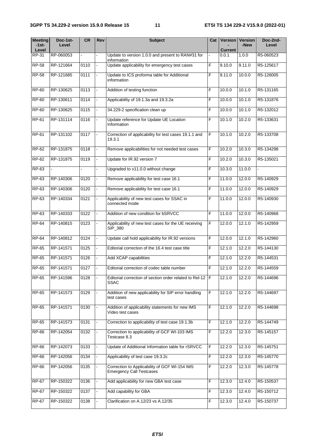| <b>Meeting</b><br>$-1$ st $-$<br>Level | Doc-1st-<br>Level | <b>CR</b> | Rev            | <b>Subject</b>                                                                   |   | Cat   Version<br>Current | <b>Version</b><br>-New | Doc-2nd-<br>Level |
|----------------------------------------|-------------------|-----------|----------------|----------------------------------------------------------------------------------|---|--------------------------|------------------------|-------------------|
| RP-31                                  | RP-060053         | ÷.        |                | Update to version 1.0.0 and present to RAN#31 for<br>information                 |   | 0.0.1                    | 1.0.0                  | R5-060523         |
| <b>RP-58</b>                           | RP-121664         | 0110      |                | Update applicability for emergency test cases                                    | F | 9.10.0                   | 9.11.0                 | R5-125617         |
| <b>RP-58</b>                           | RP-121685         | 0111      |                | Update to ICS proforma table for Additional<br>information                       | F | 9.11.0                   | 10.0.0                 | R5-126005         |
| <b>RP-60</b>                           | RP-130625         | 0113      |                | Addition of testing function                                                     | F | 10.0.0                   | 10.1.0                 | R5-131165         |
| RP-60                                  | RP-130611         | 0114      | ÷.             | Applicability of 19.1.3a and 19.3.2a                                             | F | 10.0.0                   | 10.1.0                 | R5-131876         |
| <b>RP-60</b>                           | RP-130625         | 0115      |                | 34.229-2 specification clean up                                                  | F | 10.0.0                   | 10.1.0                 | R5-132012         |
| RP-61                                  | RP-131114         | 0116      |                | Update reference for Update UE Location<br>Information                           | F | 10.1.0                   | 10.2.0                 | R5-133631         |
| RP-61                                  | RP-131102         | 0117      |                | Correction of applicability for test cases 19.1.1 and<br>19.3.1                  | F | 10.1.0                   | 10.2.0                 | R5-133708         |
| RP-62                                  | RP-131875         | 0118      |                | Remove applicabilities for not needed test cases                                 | F | 10.2.0                   | 10.3.0                 | R5-134298         |
| RP-62                                  | RP-131875         | 0119      |                | Update for IR.92 version 7                                                       | F | 10.2.0                   | 10.3.0                 | R5-135021         |
| RP-63                                  | $\mathbf{r}$      |           | ٠              | Upgraded to v11.0.0 without change                                               | F | 10.3.0                   | 11.0.0                 |                   |
| RP-63                                  | RP-140306         | 0120      | $\blacksquare$ | Remove applicability for test case 16.1                                          | F | 11.0.0                   | 12.0.0                 | R5-140929         |
| $RP-63$                                | RP-140306         | 0120      | ÷.             | Remove applicability for test case 16.1                                          | F | 11.0.0                   | 12.0.0                 | R5-140929         |
| $RP-63$                                | RP-140334         | 0121      |                | Applicability of new test cases for SSAC in<br>connected mode                    | F | 11.0.0                   | 12.0.0                 | R5-140930         |
| RP-63                                  | RP-140333         | 0122      |                | Addition of new condition for bSRVCC                                             | F | 11.0.0                   | 12.0.0                 | R5-140968         |
| <b>RP-64</b>                           | RP-140815         | 0123      |                | Applicability of new test cases for the UE receiving<br>SIP_380                  | F | 12.0.0                   | 12.1.0                 | R5-142959         |
| RP-64                                  | RP-140812         | 0124      |                | Update call hold applicability for IR.92 versions                                | F | 12.0.0                   | 12.1.0                 | R5-142960         |
| <b>RP-65</b>                           | RP-141571         | 0125      |                | Editorial correction of the 16.4 test case title                                 | F | 12.1.0                   | 12.2.0                 | R5-144130         |
| <b>RP-65</b>                           | RP-141571         | 0126      |                | Add XCAP capabilities                                                            | F | 12.1.0                   | 12.2.0                 | R5-144531         |
| <b>RP-65</b>                           | RP-141571         | 0127      |                | Editorial correction of codec table number                                       | F | 12.1.0                   | 12.2.0                 | R5-144559         |
| <b>RP-65</b>                           | RP-141596         | 0128      |                | Editorial correction of section order related to Rel-12 F<br>SSAC                |   | 12.1.0                   | 12.2.0                 | R5-144696         |
| RP-65                                  | RP-141573         | 0129      |                | Addition of new applicability for SIP error handling<br>test cases               | F | 12.1.0                   | 12.2.0                 | R5-144697         |
| RP-65                                  | RP-141571         | 0130      |                | Addition of applicability statements for new IMS<br>Video test cases             | F | 12.1.0                   | 12.2.0                 | R5-144698         |
| <b>RP-65</b>                           | RP-141573         | 0131      |                | Correction to applicability of test case 19.1.3b                                 | F | 12.1.0                   | 12.2.0                 | R5-144749         |
| RP-66                                  | RP-142054         | 0132      |                | Correction to applicability of GCF WI-103 IMS<br>Testcase 8.3                    | F | 12.2.0                   | 12.3.0                 | R5-145157         |
| RP-66                                  | RP-142073         | 0133      |                | Update of Additional Information table for rSRVCC                                | F | 12.2.0                   | 12.3.0                 | R5-145751         |
| RP-66                                  | RP-142056         | 0134      |                | Applicability of test case 19.3.2c                                               | F | 12.2.0                   | 12.3.0                 | R5-145770         |
| RP-66                                  | RP-142056         | 0135      |                | Correction to Applicability of GCF WI-154 IMS<br><b>Emergency Call Testcases</b> | F | 12.2.0                   | 12.3.0                 | R5-145778         |
| <b>RP-67</b>                           | RP-150322         | 0136      |                | Add applicability for new GBA test case                                          | F | 12.3.0                   | 12.4.0                 | R5-150537         |
| <b>RP-67</b>                           | RP-150322         | 0137      |                | Add capability for GBA                                                           | F | 12.3.0                   | 12.4.0                 | R5-150712         |
| RP-67                                  | RP-150322         | 0138      |                | Clarification on A.12/23 vs A.12/35                                              | F | 12.3.0                   | 12.4.0                 | R5-150737         |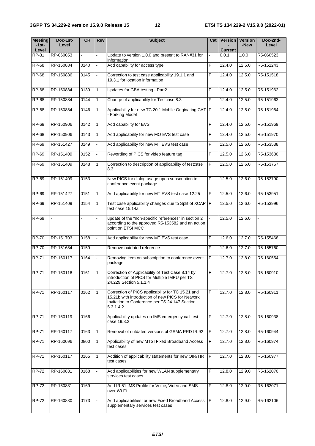| <b>Meeting</b><br>$-1$ st $-$<br>Level | Doc-1st-<br>Level | <b>CR</b> | Rev            | <b>Subject</b>                                                                                                                                                       | Cat            | Version<br><b>Current</b> | Version<br>-New | Doc-2nd-<br>Level |
|----------------------------------------|-------------------|-----------|----------------|----------------------------------------------------------------------------------------------------------------------------------------------------------------------|----------------|---------------------------|-----------------|-------------------|
| RP-31                                  | RP-060053         |           |                | Update to version 1.0.0 and present to RAN#31 for                                                                                                                    |                | 0.0.1                     | 1.0.0           | R5-060523         |
| <b>RP-68</b>                           | RP-150884         | 0140      |                | information<br>Add capability for access type                                                                                                                        | F              | 12.4.0                    | 12.5.0          | R5-151243         |
| <b>RP-68</b>                           | RP-150886         | 0145      |                | Correction to test case applicability 19.1.1 and<br>19.3.1 for location information                                                                                  | F              | 12.4.0                    | 12.5.0          | R5-151518         |
| <b>RP-68</b>                           | RP-150884         | 0139      | $\mathbf{1}$   | Updates for GBA testing - Part2                                                                                                                                      | F              | 12.4.0                    | 12.5.0          | R5-151962         |
| <b>RP-68</b>                           | RP-150884         | 0144      | $\mathbf{1}$   | Change of applicability for Testcase 8.3                                                                                                                             | F              | 12.4.0                    | 12.5.0          | R5-151963         |
| <b>RP-68</b>                           | RP-150884         | 0146      | $\mathbf{1}$   | Applicability for new TC 20.1 Mobile Originating CAT   F<br>- Forking Model                                                                                          |                | 12.4.0                    | 12.5.0          | R5-151964         |
| <b>RP-68</b>                           | RP-150906         | 0142      | $\mathbf{1}$   | Add capability for EVS                                                                                                                                               | F              | 12.4.0                    | 12.5.0          | R5-151969         |
| <b>RP-68</b>                           | RP-150906         | 0143      | $\mathbf{1}$   | Add applicability for new MO EVS test case                                                                                                                           | F              | 12.4.0                    | 12.5.0          | R5-151970         |
| RP-69                                  | RP-151427         | 0149      |                | Add applicability for new MT EVS test case                                                                                                                           | F              | 12.5.0                    | 12.6.0          | R5-153538         |
| RP-69                                  | RP-151409         | 0152      |                | Rewording of PICS for video feature tag                                                                                                                              | F              | 12.5.0                    | 12.6.0          | R5-153680         |
| RP-69                                  | RP-151409         | 0148      | 1              | Correction to description of applicability of testcase<br>8.3                                                                                                        | F              | 12.5.0                    | 12.6.0          | R5-153767         |
| <b>RP-69</b>                           | RP-151409         | 0153      |                | New PICS for dialog usage upon subscription to<br>conference event package                                                                                           | F              | 12.5.0                    | 12.6.0          | R5-153790         |
| RP-69                                  | RP-151427         | 0151      | $\mathbf{1}$   | Add applicability for new MT EVS test case 12.25                                                                                                                     | F              | 12.5.0                    | 12.6.0          | R5-153951         |
| RP-69                                  | RP-151409         | 0154      | $\mathbf{1}$   | Test case applicability changes due to Split of XCAP   F<br>test case 15.14a                                                                                         |                | 12.5.0                    | 12.6.0          | R5-153996         |
| <b>RP-69</b>                           |                   |           |                | update of the "non-specific references" in section 2<br>according to the approved R5-153582 and an action<br>point on ETSI MCC                                       |                | 12.5.0                    | 12.6.0          |                   |
| <b>RP-70</b>                           | RP-151703         | 0158      |                | Add applicability for new MT EVS test case                                                                                                                           | F              | 12.6.0                    | 12.7.0          | R5-155468         |
| <b>RP-70</b>                           | RP-151684         | 0159      |                | Remove outdated reference                                                                                                                                            | F              | 12.6.0                    | 12.7.0          | R5-155760         |
| <b>RP-71</b>                           | RP-160117         | 0164      |                | Removing item on subscription to conference event<br>package                                                                                                         | F              | 12.7.0                    | 12.8.0          | R5-160554         |
| <b>RP-71</b>                           | RP-160116         | 0161      | l 1            | Correction of Applicability of Test Case 8.14 by<br>introduction of PICS for Multiple IMPU per TS<br>24.229 Section 5.1.1.4                                          | F              | 12.7.0                    | 12.8.0          | R5-160910         |
| <b>RP-71</b>                           | RP-160117         | 0162      | $\mathbf{1}$   | Correction of PICS applicability for TC 15.21 and<br>15.21b with introduction of new PICS for Network<br>Invitation to Conference per TS 24.147 Section<br>5.3.1.4.2 | $\mathsf F$    | 12.7.0                    | 12.8.0          | R5-160911         |
| <b>RP-71</b>                           | RP-160119         | 0166      |                | Applicability updates on IMS emergency call test<br>case 19.3.2                                                                                                      | $\overline{F}$ | 12.7.0                    | 12.8.0          | R5-160938         |
| <b>RP-71</b>                           | RP-160117         | 0163      | 1              | Removal of outdated versions of GSMA PRD IR.92                                                                                                                       | F              | 12.7.0                    | 12.8.0          | R5-160944         |
| <b>RP-71</b>                           | RP-160096         | 0800      | $\mathbf{1}$   | Applicability of new MTSI Fixed Broadband Access<br>test cases                                                                                                       | $\overline{F}$ | 12.7.0                    | 12.8.0          | R5-160974         |
| <b>RP-71</b>                           | RP-160117         | 0165      | $\overline{1}$ | Addition of applicability statements for new OIR/TIR<br>test cases                                                                                                   | F              | 12.7.0                    | 12.8.0          | R5-160977         |
| <b>RP-72</b>                           | RP-160831         | 0168      |                | Add applicabilities for new WLAN supplementary<br>services test cases                                                                                                | F              | 12.8.0                    | 12.9.0          | R5-162070         |
| <b>RP-72</b>                           | RP-160831         | 0169      |                | Add IR.51 IMS Profile for Voice, Video and SMS<br>over Wi-Fi                                                                                                         | F              | 12.8.0                    | 12.9.0          | R5-162071         |
| <b>RP-72</b>                           | RP-160830         | 0173      |                | Add applicabilities for new Fixed Broadband Access<br>supplementary services test cases                                                                              | F              | 12.8.0                    | 12.9.0          | R5-162106         |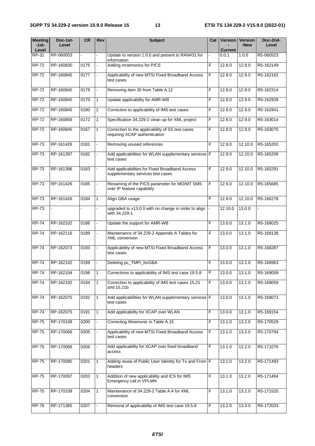| <b>Meeting</b><br>$-1$ st $-$ | Doc-1st-<br>Level | CR   | Rev            | <b>Subject</b>                                                                      | Cat | <b>Version</b>          | <b>Version</b><br>-New | Doc-2nd-<br>Level |
|-------------------------------|-------------------|------|----------------|-------------------------------------------------------------------------------------|-----|-------------------------|------------------------|-------------------|
| Level<br>RP-31                | RP-060053         |      |                | Update to version 1.0.0 and present to RAN#31 for                                   |     | <b>Current</b><br>0.0.1 | 1.0.0                  | R5-060523         |
|                               | RP-160830         | 0175 |                | information                                                                         | F   |                         |                        | R5-162149         |
| <b>RP-72</b>                  |                   |      |                | Adding mnemonics for PICS                                                           |     | 12.8.0                  | 12.9.0                 |                   |
| $RP-72$                       | RP-160845         | 0177 |                | Applicability of new MTSI Fixed Broadband Access<br>test cases                      | F   | 12.8.0                  | 12.9.0                 | R5-162162         |
| <b>RP-72</b>                  | RP-160845         | 0178 |                | Removing item 35 from Table A.12                                                    | F   | 12.8.0                  | 12.9.0                 | R5-162314         |
| $RP-72$                       | RP-160845         | 0170 | $\mathbf{1}$   | Update applicability for AMR-WB                                                     | F   | 12.8.0                  | 12.9.0                 | R5-162939         |
| $RP-72$                       | RP-160845         | 0180 | $\overline{2}$ | Correction to applicability of IMS test cases                                       | F   | 12.8.0                  | 12.9.0                 | R5-162941         |
| $RP-72$                       | RP-160858         | 0172 | $\mathbf{1}$   | Specification 34.229-2 clean up for XML project                                     | F   | 12.8.0                  | 12.9.0                 | R5-163014         |
| $RP-72$                       | RP-160845         | 0167 | $\mathbf{1}$   | Correction to the applicability of SS test cases<br>requiring XCAP authentication   | F   | 12.8.0                  | 12.9.0                 | R5-163070         |
| <b>RP-73</b>                  | RP-161426         | 0181 |                | Removing unused references                                                          | F   | 12.9.0                  | 12.10.0                | R5-165202         |
| <b>RP-73</b>                  | RP-161397         | 0182 |                | Add applicabilities for WLAN supplementary services F<br>test cases                 |     | 12.9.0                  | 12.10.0                | R5-165209         |
| <b>RP-73</b>                  | RP-161396         | 0183 |                | Add applicabilities for Fixed Broadband Access<br>supplementary services test cases | F   | 12.9.0                  | 12.10.0                | R5-165291         |
| <b>RP-73</b>                  | RP-161426         | 0185 |                | Renaming of the PICS parameter for MO/MT SMS<br>over IP feature capability          | F   | 12.9.0                  | 12.10.0                | R5-165685         |
| <b>RP-73</b>                  | RP-161426         | 0184 | $\mathbf{1}$   | Align GBA usage                                                                     | F   | 12.9.0                  | $\overline{12.10.0}$   | R5-166278         |
| <b>RP-73</b>                  | $\blacksquare$    |      |                | upgraded to v13.0.0 with no change in order to align<br>with 34.229-1               |     | 12.10.0                 | 13.0.0                 |                   |
| <b>RP-74</b>                  | RP-162102         | 0186 |                | Update the support for AMR-WB                                                       | F   | 13.0.0                  | 13.1.0                 | R5-168025         |
| <b>RP-74</b>                  | RP-162116         | 0189 |                | Maintenance of 34.229-2 Appendix A Tables for<br><b>XML</b> conversion              | F   | 13.0.0                  | 13.1.0                 | R5-168138         |
| $RP-74$                       | RP-162073         | 0193 |                | Applicability of new MTSI Fixed Broadband Access<br>test cases                      | F   | 13.0.0                  | 13.1.0                 | R5-168287         |
| <b>RP-74</b>                  | RP-162102         | 0199 |                | Deleting pc_TMPI_forGBA                                                             | F   | 13.0.0                  | 13.1.0                 | R5-168963         |
| <b>RP-74</b>                  | RP-162104         | 0198 | $\vert$ 1      | Corrections to applicability of IMS test case 19.5.8                                | F   | 13.0.0                  | 13.1.0                 | R5-169058         |
| <b>RP-74</b>                  | RP-162102         | 0194 | $\mathbf{1}$   | Correction to applicability of IMS test cases 15.21<br>and 15.21b                   | F   | 13.0.0                  | 13.1.0                 | R5-169059         |
| <b>RP-74</b>                  | RP-162075         | 0192 | $\mathbf{1}$   | Add applicabilities for WLAN supplementary services F<br>test cases                 |     | 13.0.0                  | 13.1.0                 | R5-169073         |
| <b>RP-74</b>                  | RP-162075         | 0191 | 1              | Add applicability for XCAP over WLAN                                                | F   | 13.0.0                  | 13.1.0                 | R5-169154         |
| <b>RP-75</b>                  | RP-170108         | 0200 |                | Correcting Mnemonic in Table A.15                                                   | F   | 13.1.0                  | 13.2.0                 | R5-170529         |
| <b>RP-75</b>                  | RP-170066         | 0205 |                | Applicability of new MTSI Fixed Broadband Access<br>test cases                      | F   | 13.1.0                  | 13.2.0                 | R5-170794         |
| <b>RP-75</b>                  | RP-170066         | 0206 |                | Add applicability for XCAP over fixed broadband<br>access                           | F   | 13.1.0                  | 13.2.0                 | R5-171076         |
| <b>RP-75</b>                  | RP-170095         | 0201 | 1              | Adding reuse of Public User Identity for To and From F<br>headers                   |     | 13.1.0                  | 13.2.0                 | R5-171493         |
| <b>RP-75</b>                  | RP-170097         | 0203 | $\mathbf{1}$   | Addition of new applicability and ICS for IMS<br>Emergency call in VPLMN            | F   | 13.1.0                  | 13.2.0                 | R5-171494         |
| <b>RP-75</b>                  | RP-170109         | 0204 | $\mathbf{1}$   | Maintenance of 34.229-2 Table A.4 for XML<br>conversion                             | F   | 13.1.0                  | 13.2.0                 | R5-171520         |
| <b>RP-76</b>                  | RP-171365         | 0207 |                | Removal of applicability of IMS test case 19.5.8                                    | F   | 13.2.0                  | 13.3.0                 | R5-172033         |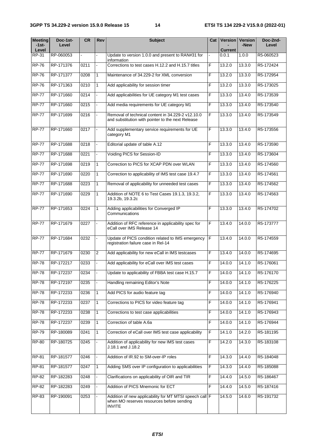| <b>Meeting</b><br>$-1$ st $-$<br>Level | Doc-1st-<br>Level | <b>CR</b> | <b>Rev</b>   | <b>Subject</b>                                                                                                        | Cat | <b>Current</b>      | <b>Version   Version</b><br>-New | Doc-2nd-<br>Level |
|----------------------------------------|-------------------|-----------|--------------|-----------------------------------------------------------------------------------------------------------------------|-----|---------------------|----------------------------------|-------------------|
| RP-31                                  | RP-060053         |           |              | Update to version 1.0.0 and present to RAN#31 for<br>information                                                      |     | 0.0.1               | 1.0.0                            | R5-060523         |
| <b>RP-76</b>                           | RP-171376         | 0211      |              | Corrections to test cases H.12.2 and H.15.7 titles                                                                    | F   | 13.2.0              | 13.3.0                           | R5-172424         |
| <b>RP-76</b>                           | RP-171377         | 0208      | $\mathbf{1}$ | Maintenance of 34.229-2 for XML conversion                                                                            | F   | 13.2.0              | 13.3.0                           | R5-172954         |
| <b>RP-76</b>                           | RP-171363         | 0210      | $\mathbf{1}$ | Add applicability for session timer                                                                                   | F   | 13.2.0              | 13.3.0                           | R5-173025         |
| <b>RP-77</b>                           | RP-171660         | 0214      |              | Add applicabilities for UE category M1 test cases                                                                     | F   | 13.3.0              | 13.4.0                           | R5-173539         |
| <b>RP-77</b>                           | RP-171660         | 0215      |              | Add media requirements for UE category M1                                                                             | F   | 13.3.0              | 13.4.0                           | R5-173540         |
| <b>RP-77</b>                           | RP-171699         | 0216      |              | Removal of technical content in 34.229-2 v12.10.0<br>and substitution with pointer to the next Release                | F   | 13.30               | 13.4.0                           | R5-173549         |
| <b>RP-77</b>                           | RP-171660         | 0217      |              | Add supplementary service requirements for UE<br>category M1                                                          | F   | 13.3.0              | 13.4.0                           | R5-173556         |
| <b>RP-77</b>                           | RP-171688         | 0218      |              | Editorial update of table A.12                                                                                        | F   | 13.3.0              | 13.4.0                           | R5-173590         |
| <b>RP-77</b>                           | RP-171688         | 0221      |              | Voiding PICS for Session-ID                                                                                           | F   | 13.3.0              | 13.4.0                           | R5-173604         |
| <b>RP-77</b>                           | RP-171698         | 0219      | $\mathbf{1}$ | Correction to PICS for XCAP PDN over WLAN                                                                             | F   | 13.3.0              | 13.4.0                           | R5-174560         |
| <b>RP-77</b>                           | RP-171690         | 0220      | $\mathbf{1}$ | Correction to applicability of IMS test case 19.4.7                                                                   | F   | 13.3.0              | 13.4.0                           | R5-174561         |
| <b>RP-77</b>                           | RP-171688         | 0223      | $\mathbf{1}$ | Removal of applicability for unneeded test cases                                                                      | F   | 13.3.0              | 13.4.0                           | R5-174562         |
| <b>RP-77</b>                           | RP-171690         | 0229      | $\mathbf{1}$ | Addition of NOTE 6 to Test Cases 19.1.3, 19.3.2,<br>19.3.2b, 19.3.2c                                                  | F   | 13.3.0              | 13.4.0                           | R5-174563         |
| <b>RP-77</b>                           | RP-171653         | 0224      | 1            | Adding applicabilities for Converged IP<br>Communications                                                             | F   | 13.3.0              | 13.4.0                           | R5-174702         |
| <b>RP-77</b>                           | RP-171679         | 0227      |              | Addition of RFC reference in applicability spec for<br>eCall over IMS Release 14                                      | F   | 13.4.0              | 14.0.0                           | R5-173777         |
| <b>RP-77</b>                           | RP-171684         | 0232      |              | Update of PICS condition related to IMS emergency<br>registration failure case in Rel-14                              | F   | 13.4.0              | 14.0.0                           | R5-174559         |
| <b>RP-77</b>                           | RP-171679         | 0230      | 2            | Add applicability for new eCall in IMS testcases                                                                      | F   | 13.4.0              | 14.0.0                           | R5-174695         |
| <b>RP-78</b>                           | RP-172217         | 0233      |              | Add applicability for eCall over IMS test cases                                                                       | F   | 14.0.0              | 14.1.0                           | R5-176061         |
| <b>RP-78</b>                           | RP-172237         | 0234      |              | Update to applicability of FBBA test case H.15.7                                                                      | F   | 14.0.0              | 14.1.0                           | R5-176170         |
| <b>RP-78</b>                           | RP-172197         | 0235      |              | Handling remaining Editor's Note                                                                                      | F   | 14.0.0              | 14.1.0                           | R5-176225         |
| <b>RP-78</b>                           | RP-172233         | 0236      | $\mathbf{1}$ | Add PICS for audio feature tag                                                                                        | F   | 14.0.0              | 14.1.0                           | R5-176940         |
| <b>RP-78</b>                           | RP-172233         | 0237      | 1            | Corrections to PICS for video feature tag                                                                             | F   | 14.0.0              | 14.1.0                           | R5-176941         |
| <b>RP-78</b>                           | RP-172233         | 0238      | 1            | Corrections to test case applicabilities                                                                              | F   | $\overline{14.0.0}$ | 14.1.0                           | R5-176943         |
| <b>RP-78</b>                           | RP-172237         | 0239      | 1            | Correction of table A.6a                                                                                              | F   | 14.0.0              | 14.1.0                           | R5-176944         |
| <b>RP-79</b>                           | RP-180089         | 0241      | 1            | Correction of eCall over IMS test case applicability                                                                  | F   | 14.1.0              | 14.2.0                           | R5-181195         |
| RP-80                                  | RP-180725         | 0245      |              | Addition of applicability for new IMS test cases<br>J.18.1 and J.18.2                                                 | F   | 14.2.0              | 14.3.0                           | R5-183108         |
| RP-81                                  | RP-181577         | 0246      |              | Addition of IR.92 to SM-over-IP roles                                                                                 | F   | $\overline{14.3.0}$ | 14.4.0                           | R5-184048         |
| RP-81                                  | RP-181577         | 0247      | 1            | Adding SMS over IP configuration to applicabilities                                                                   | F   | 14.3.0              | 14.4.0                           | R5-185088         |
| RP-82                                  | RP-182283         | 0248      |              | Clarifications on applicability of OIR and TIR                                                                        | F   | 14.4.0              | 14.5.0                           | R5-186467         |
| RP-82                                  | RP-182283         | 0249      |              | Addition of PICS Mnemonic for ECT                                                                                     | F   | 14.4.0              | 14.5.0                           | R5-187416         |
| RP-83                                  | RP-190091         | 0253      |              | Addition of new applicability for MT MTSI speech call F<br>when MO reserves resources before sending<br><b>INVITE</b> |     | 14.5.0              | 14.6.0                           | R5-191732         |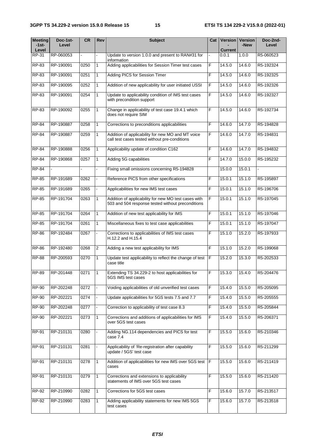| <b>Meeting</b><br>$-1$ st $-$ | Doc-1st-<br>Level | CR             | <b>Rev</b>     | <b>Subject</b>                                                                                            | Cat | <b>Version</b> | <b>Version</b><br>-New | Doc-2nd-<br>Level |
|-------------------------------|-------------------|----------------|----------------|-----------------------------------------------------------------------------------------------------------|-----|----------------|------------------------|-------------------|
| Level                         |                   |                |                |                                                                                                           |     | <b>Current</b> |                        |                   |
| RP-31                         | RP-060053         |                |                | Update to version 1.0.0 and present to RAN#31 for<br>information                                          |     | 0.0.1          | 1.0.0                  | R5-060523         |
| RP-83                         | RP-190091         | 0250           | 1              | Adding applicabilities for Session Timer test cases                                                       | F   | 14.5.0         | 14.6.0                 | R5-192324         |
| <b>RP-83</b>                  | RP-190091         | 0251           | 1              | <b>Adding PICS for Session Timer</b>                                                                      | F   | 14.5.0         | 14.6.0                 | R5-192325         |
| <b>RP-83</b>                  | RP-190095         | 0252           | 1              | Addition of new applicability for user initiated USSI                                                     | F   | 14.5.0         | 14.6.0                 | R5-192326         |
| <b>RP-83</b>                  | RP-190091         | 0254           | $\mathbf{1}$   | Update to applicability condition of IMS test cases<br>with precondition support                          | F   | 14.5.0         | 14.6.0                 | R5-192327         |
| RP-83                         | RP-190092         | 0255           | 1              | Change in applicability of test case 19.4.1 which<br>does not require SIM                                 | F   | 14.5.0         | 14.6.0                 | R5-192734         |
| <b>RP-84</b>                  | RP-190887         | 0258           | $\mathbf{1}$   | Corrections to preconditions applicabilities                                                              | F   | 14.6.0         | 14.7.0                 | R5-194828         |
| <b>RP-84</b>                  | RP-190887         | 0259           | $\mathbf{1}$   | Addition of applicability for new MO and MT voice<br>call test cases tested without pre-conditions        | F   | 14.6.0         | 14.7.0                 | R5-194831         |
| <b>RP-84</b>                  | RP-190888         | 0256           | $\mathbf{1}$   | Applicability update of condition C162                                                                    | F   | 14.6.0         | 14.7.0                 | R5-194832         |
| <b>RP-84</b>                  | RP-190868         | 0257           | $\mathbf{1}$   | Adding 5G capabilities                                                                                    | F   | 14.7.0         | 15.0.0                 | R5-195232         |
| <b>RP-84</b>                  |                   | $\overline{a}$ |                | Fixing small omissions concerning R5-194828                                                               |     | 15.0.0         | 15.0.1                 |                   |
| <b>RP-85</b>                  | RP-191689         | 0262           |                | Reference PICS from other specifications                                                                  | F   | 15.0.1         | 15.1.0                 | R5-195897         |
| <b>RP-85</b>                  | RP-191689         | 0265           |                | Applicabilities for new IMS test cases                                                                    | F   | 15.0.1         | 15.1.0                 | R5-196706         |
| RP-85                         | RP-191704         | 0263           | 1              | Addition of applicability for new MO test cases with<br>503 and 504 response tested without preconditions | F   | 15.0.1         | 15.1.0                 | R5-197045         |
| <b>RP-85</b>                  | RP-191704         | 0264           | $\mathbf{1}$   | Addition of new test applicability for IMS                                                                | F   | 15.0.1         | 15.1.0                 | R5-197046         |
| RP-85                         | RP-191704         | 0261           | $\mathbf{1}$   | Miscellaneous fixes to test case applicabilities                                                          | F   | 15.0.1         | 15.1.0                 | R5-197047         |
| <b>RP-86</b>                  | RP-192484         | 0267           |                | Corrections to applicabilities of IMS test cases<br>H.12.2 and H.15.4                                     | F   | 15.1.0         | 15.2.0                 | R5-197933         |
| <b>RP-86</b>                  | RP-192480         | 0268           | $\overline{2}$ | Adding a new test applicability for IMS                                                                   | F   | 15.1.0         | 15.2.0                 | R5-199068         |
| <b>RP-88</b>                  | RP-200593         | 0270           | 1              | Update test applicability to reflect the change of test<br>case title                                     | F   | 15.2.0         | 15.3.0                 | R5-202533         |
| <b>RP-89</b>                  | RP-201448         | 0271           | l 1            | Extending TS 34.229-2 to host applicabilities for<br>5GS IMS test cases                                   | F   | 15.3.0         | 15.4.0                 | R5-204476         |
| <b>RP-90</b>                  | RP-202248         | 0272           |                | Voiding applicabilities of old unverified test cases                                                      | F   | 15.4.0         | 15.5.0                 | R5-205095         |
| <b>RP-90</b>                  | RP-202221         | 0274           |                | Update applicabilities for 5GS tests 7.5 and 7.7                                                          | F   | 15.4.0         | 15.5.0                 | R5-205555         |
| $RP-90$                       | RP-202248         | 0277           |                | Correction to applicability of test case 8.3                                                              | F   | 15.4.0         | 15.5.0                 | R5-205844         |
| RP-90                         | RP-202221         | 0273           | 1              | Corrections and additions of applicabilities for IMS<br>over 5GS test cases                               | F   | 15.4.0         | 15.5.0                 | R5-206371         |
| RP-91                         | RP-210131         | 0280           |                | Adding NG.114 dependencies and PICS for test<br>case 7.4                                                  | F   | 15.5.0         | 15.6.0                 | R5-210346         |
| RP-91                         | RP-210131         | 0281           |                | Applicability of 'Re-registration after capability<br>update / 5GS' test case                             | F   | 15.5.0         | 15.6.0                 | R5-211299         |
| RP-91                         | RP-210131         | 0278           | 1              | Addition of applicabilities for new IMS over 5GS test  F<br>cases                                         |     | 15.5.0         | 15.6.0                 | R5-211419         |
| RP-91                         | RP-210131         | 0279           | $\overline{1}$ | Corrections and extensions to applicability<br>statements of IMS over 5GS test cases                      | F   | 15.5.0         | 15.6.0                 | R5-211420         |
| RP-92                         | RP-210990         | 0282           | $\mathbf{1}$   | Corrections for 5GS test cases                                                                            | F   | 15.6.0         | 15.7.0                 | R5-213517         |
| $RP-92$                       | RP-210990         | 0283           | $\mathbf{1}$   | Adding applicability statements for new IMS 5GS                                                           | F   | 15.6.0         | 15.7.0                 | R5-213518         |
|                               |                   |                |                | test cases                                                                                                |     |                |                        |                   |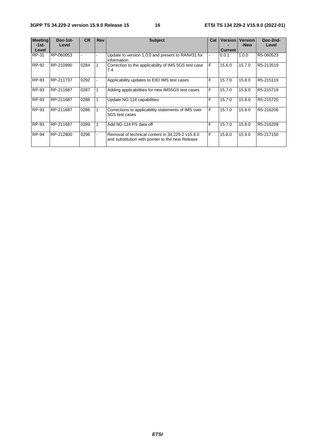| <b>Meeting</b> | Doc-1st-  | <b>CR</b> | <b>Rev</b> | <b>Subject</b>                                                                                        | Cat | <b>Version</b> | <b>Version</b> | Doc-2nd-  |
|----------------|-----------|-----------|------------|-------------------------------------------------------------------------------------------------------|-----|----------------|----------------|-----------|
| $-1$ st $-$    | Level     |           |            |                                                                                                       |     |                | -New           | Level     |
| Level          |           |           |            |                                                                                                       |     | <b>Current</b> |                |           |
| RP-31          | RP-060053 |           |            | Update to version 1.0.0 and present to RAN#31 for<br>information                                      |     | 0.0.1          | 1.0.0          | R5-060523 |
| RP-92          | RP-210990 | 0284      |            | Correction to the applicability of IMS 5GS test case<br>7.4                                           | F   | 15.6.0         | 15.7.0         | R5-213519 |
| RP-93          | RP-211737 | 0292      |            | Applicability updates to EIEI IMS test cases                                                          | F   | 15.7.0         | 15.8.0         | R5-215119 |
| RP-93          | RP-211687 | 0287      |            | Adding applicabilities for new IMS5GS test cases                                                      | F   | 15.7.0         | 15.8.0         | R5-215719 |
| RP-93          | RP-211687 | 0288      |            | Update NG.114 capabilities                                                                            | F   | 15.7.0         | 15.8.0         | R5-215720 |
| RP-93          | RP-211687 | 0286      |            | Corrections to applicability statements of IMS over<br>5GS test cases                                 | F   | 15.7.0         | 15.8.0         | R5-216206 |
| RP-93          | RP-211687 | 0289      |            | Add NG.114 PS data off                                                                                | F   | 15.7.0         | 15.8.0         | R5-216209 |
| RP-94          | RP-212800 | 0296      |            | Removal of technical content in 34.229-2 v15.8.0<br>and substitution with pointer to the next Release | F   | 15.8.0         | 15.9.0         | R5-217150 |